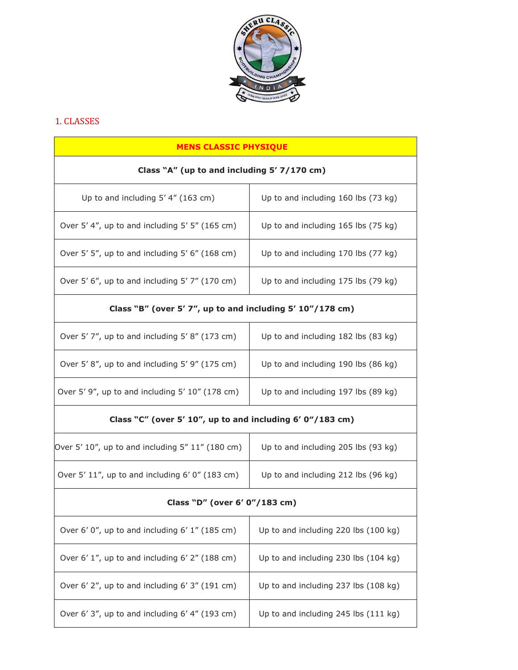

# 1. CLASSES

| <b>MENS CLASSIC PHYSIQUE</b>                                    |                                      |  |
|-----------------------------------------------------------------|--------------------------------------|--|
| Class "A" (up to and including 5' 7/170 cm)                     |                                      |  |
| Up to and including $5'$ 4" (163 cm)                            | Up to and including 160 lbs (73 kg)  |  |
| Over 5'4", up to and including 5'5" (165 cm)                    | Up to and including 165 lbs (75 kg)  |  |
| Over 5' 5", up to and including 5' 6" (168 cm)                  | Up to and including 170 lbs (77 kg)  |  |
| Over 5' $6''$ , up to and including $5'$ 7" (170 cm)            | Up to and including 175 lbs (79 kg)  |  |
| Class "B" (over 5' 7", up to and including 5' 10"/178 cm)       |                                      |  |
| Over 5'7", up to and including 5'8" (173 cm)                    | Up to and including 182 lbs (83 kg)  |  |
| Over 5'8", up to and including 5'9" (175 cm)                    | Up to and including 190 lbs (86 kg)  |  |
| Over 5'9", up to and including 5' 10" (178 cm)                  | Up to and including 197 lbs (89 kg)  |  |
| Class "C" (over 5' $10$ ", up to and including 6' $0$ "/183 cm) |                                      |  |
| Over 5' $10$ ", up to and including 5" $11$ " (180 cm)          | Up to and including 205 lbs (93 kg)  |  |
| Over $5'$ 11", up to and including $6'$ 0" (183 cm)             | Up to and including 212 lbs (96 kg)  |  |
| Class "D" (over 6' 0"/183 cm)                                   |                                      |  |
| Over 6' 0", up to and including 6' 1" (185 cm)                  | Up to and including 220 lbs (100 kg) |  |
| Over 6' 1", up to and including 6' 2" (188 cm)                  | Up to and including 230 lbs (104 kg) |  |
| Over 6' 2", up to and including 6' 3" (191 cm)                  | Up to and including 237 lbs (108 kg) |  |
| Over 6' 3", up to and including 6' 4" (193 cm)                  | Up to and including 245 lbs (111 kg) |  |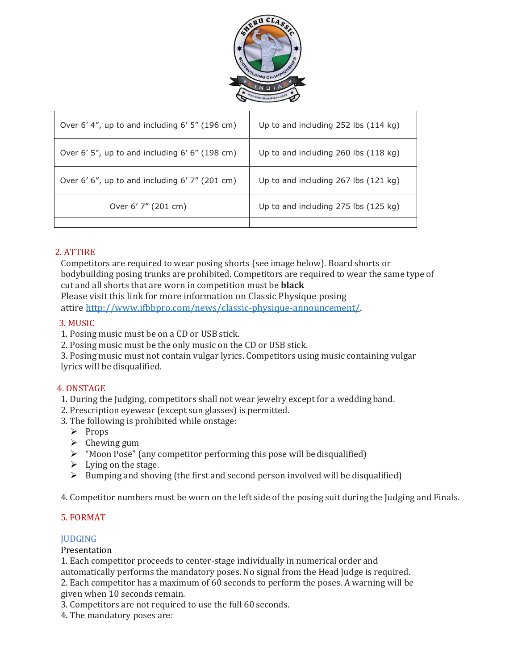

| Over 6'4", up to and including 6'5" (196 cm)   | Up to and including 252 lbs (114 kg) |
|------------------------------------------------|--------------------------------------|
| Over 6' 5", up to and including 6' 6" (198 cm) | Up to and including 260 lbs (118 kg) |
| Over 6' 6", up to and including 6' 7" (201 cm) | Up to and including 267 lbs (121 kg) |
| Over 6' 7" (201 cm)                            | Up to and including 275 lbs (125 kg) |
|                                                |                                      |

## 2. ATTIRE

Competitors are required to wear posing shorts (see image below). Board shorts or bodybuilding posing trunks are prohibited. Competitors are required to wear the same type of cut and all shorts that are worn in competition must be **black** Please visit this link for more information on Classic Physique posing

attire [http://www.ifbbpro.com/news/classic-physique-announcement/.](http://www.ifbbpro.com/news/classic-physique-announcement/)

### 3. MUSIC

1. Posing music must be on a CD or USB stick.

2. Posing music must be the only music on the CD or USB stick.

3. Posing music must not contain vulgar lyrics. Competitors using music containing vulgar lyrics will be disqualified.

### 4. ONSTAGE

1. During the Judging, competitors shall not wear jewelry except for a wedding band.

- 2. Prescription eyewear (except sun glasses) is permitted.
- 3. The following is prohibited while onstage:
	- $\triangleright$  Props
	- $\triangleright$  Chewing gum
	- $\triangleright$  "Moon Pose" (any competitor performing this pose will be disqualified)
	- $\triangleright$  Lying on the stage.
	- $\triangleright$  Bumping and shoving (the first and second person involved will be disqualified)

4. Competitor numbers must be worn on the left side of the posing suit duringthe Judging and Finals.

### 5. FORMAT

#### JUDGING

#### Presentation

1. Each competitor proceeds to center-stage individually in numerical order and

automatically performs the mandatory poses. No signal from the Head Judge is required. 2. Each competitor has a maximum of 60 seconds to perform the poses. A warning will be

given when 10 seconds remain.

3. Competitors are not required to use the full 60 seconds.

4. The mandatory poses are: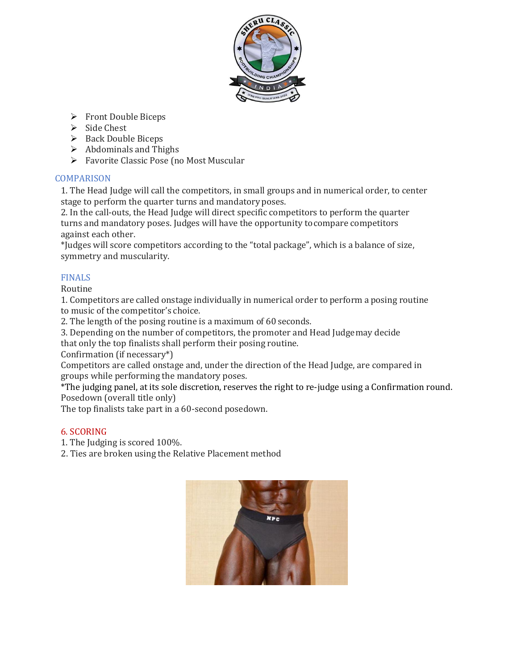

- Front Double Biceps
- $\triangleright$  Side Chest
- $\triangleright$  Back Double Biceps
- $\triangleright$  Abdominals and Thighs
- Favorite Classic Pose (no Most Muscular

## **COMPARISON**

1. The Head Judge will call the competitors, in small groups and in numerical order, to center stage to perform the quarter turns and mandatory poses.

2. In the call-outs, the Head Judge will direct specific competitors to perform the quarter turns and mandatory poses. Judges will have the opportunity tocompare competitors against each other.

\*Judges will score competitors according to the "total package", which is a balance of size, symmetry and muscularity.

## FINALS

## Routine

1. Competitors are called onstage individually in numerical order to perform a posing routine to music of the competitor's choice.

2. The length of the posing routine is a maximum of 60 seconds.

3. Depending on the number of competitors, the promoter and Head Judgemay decide

that only the top finalists shall perform their posing routine.

Confirmation (if necessary\*)

Competitors are called onstage and, under the direction of the Head Judge, are compared in groups while performing the mandatory poses.

\*The judging panel, at its sole discretion, reserves the right to re-judge using a Confirmation round. Posedown (overall title only)

The top finalists take part in a 60-second posedown.

## 6. SCORING

- 1. The Judging is scored 100%.
- 2. Ties are broken using the Relative Placement method